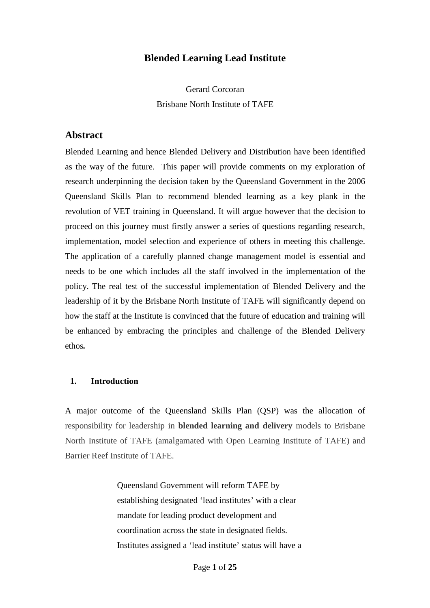# **Blended Learning Lead Institute**

Gerard Corcoran Brisbane North Institute of TAFE

# **Abstract**

Blended Learning and hence Blended Delivery and Distribution have been identified as the way of the future. This paper will provide comments on my exploration of research underpinning the decision taken by the Queensland Government in the 2006 Queensland Skills Plan to recommend blended learning as a key plank in the revolution of VET training in Queensland. It will argue however that the decision to proceed on this journey must firstly answer a series of questions regarding research, implementation, model selection and experience of others in meeting this challenge. The application of a carefully planned change management model is essential and needs to be one which includes all the staff involved in the implementation of the policy. The real test of the successful implementation of Blended Delivery and the leadership of it by the Brisbane North Institute of TAFE will significantly depend on how the staff at the Institute is convinced that the future of education and training will be enhanced by embracing the principles and challenge of the Blended Delivery ethos*.* 

### **1. Introduction**

A major outcome of the Queensland Skills Plan (QSP) was the allocation of responsibility for leadership in **blended learning and delivery** models to Brisbane North Institute of TAFE (amalgamated with Open Learning Institute of TAFE) and Barrier Reef Institute of TAFE.

> Queensland Government will reform TAFE by establishing designated 'lead institutes' with a clear mandate for leading product development and coordination across the state in designated fields. Institutes assigned a 'lead institute' status will have a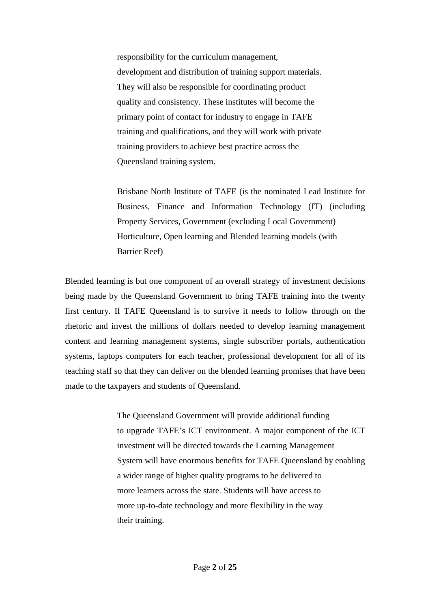responsibility for the curriculum management, development and distribution of training support materials. They will also be responsible for coordinating product quality and consistency. These institutes will become the primary point of contact for industry to engage in TAFE training and qualifications, and they will work with private training providers to achieve best practice across the Queensland training system.

Brisbane North Institute of TAFE (is the nominated Lead Institute for Business, Finance and Information Technology (IT) (including Property Services, Government (excluding Local Government) Horticulture, Open learning and Blended learning models (with Barrier Reef)

Blended learning is but one component of an overall strategy of investment decisions being made by the Queensland Government to bring TAFE training into the twenty first century. If TAFE Queensland is to survive it needs to follow through on the rhetoric and invest the millions of dollars needed to develop learning management content and learning management systems, single subscriber portals, authentication systems, laptops computers for each teacher, professional development for all of its teaching staff so that they can deliver on the blended learning promises that have been made to the taxpayers and students of Queensland.

> The Queensland Government will provide additional funding to upgrade TAFE's ICT environment. A major component of the ICT investment will be directed towards the Learning Management System will have enormous benefits for TAFE Queensland by enabling a wider range of higher quality programs to be delivered to more learners across the state. Students will have access to more up-to-date technology and more flexibility in the way their training.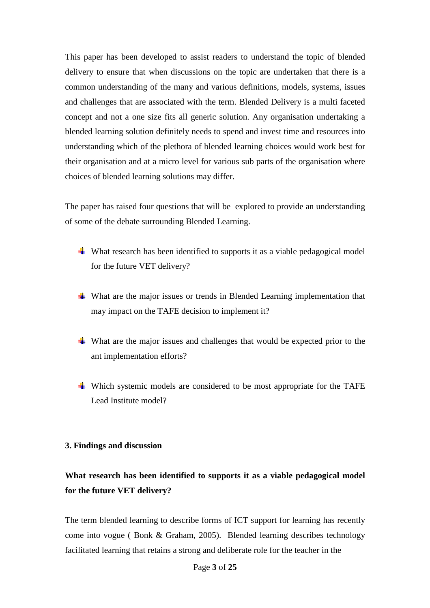This paper has been developed to assist readers to understand the topic of blended delivery to ensure that when discussions on the topic are undertaken that there is a common understanding of the many and various definitions, models, systems, issues and challenges that are associated with the term. Blended Delivery is a multi faceted concept and not a one size fits all generic solution. Any organisation undertaking a blended learning solution definitely needs to spend and invest time and resources into understanding which of the plethora of blended learning choices would work best for their organisation and at a micro level for various sub parts of the organisation where choices of blended learning solutions may differ.

The paper has raised four questions that will be explored to provide an understanding of some of the debate surrounding Blended Learning.

- What research has been identified to supports it as a viable pedagogical model for the future VET delivery?
- What are the major issues or trends in Blended Learning implementation that may impact on the TAFE decision to implement it?
- What are the major issues and challenges that would be expected prior to the ant implementation efforts?
- Which systemic models are considered to be most appropriate for the TAFE Lead Institute model?

### **3. Findings and discussion**

# **What research has been identified to supports it as a viable pedagogical model for the future VET delivery?**

The term blended learning to describe forms of ICT support for learning has recently come into vogue ( Bonk & Graham, 2005). Blended learning describes technology facilitated learning that retains a strong and deliberate role for the teacher in the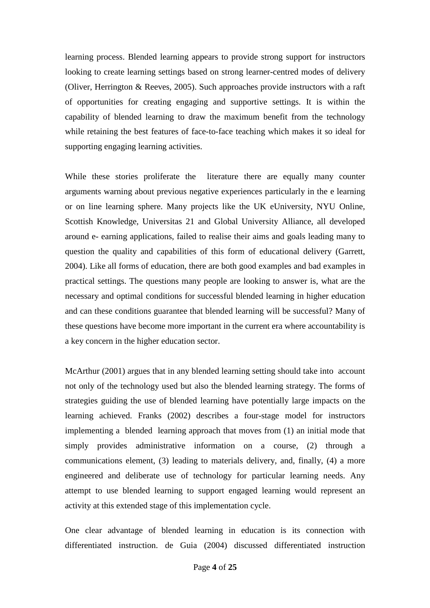learning process. Blended learning appears to provide strong support for instructors looking to create learning settings based on strong learner-centred modes of delivery (Oliver, Herrington & Reeves, 2005). Such approaches provide instructors with a raft of opportunities for creating engaging and supportive settings. It is within the capability of blended learning to draw the maximum benefit from the technology while retaining the best features of face-to-face teaching which makes it so ideal for supporting engaging learning activities.

While these stories proliferate the literature there are equally many counter arguments warning about previous negative experiences particularly in the e learning or on line learning sphere. Many projects like the UK eUniversity, NYU Online, Scottish Knowledge, Universitas 21 and Global University Alliance, all developed around e- earning applications, failed to realise their aims and goals leading many to question the quality and capabilities of this form of educational delivery (Garrett, 2004). Like all forms of education, there are both good examples and bad examples in practical settings. The questions many people are looking to answer is, what are the necessary and optimal conditions for successful blended learning in higher education and can these conditions guarantee that blended learning will be successful? Many of these questions have become more important in the current era where accountability is a key concern in the higher education sector.

McArthur (2001) argues that in any blended learning setting should take into account not only of the technology used but also the blended learning strategy. The forms of strategies guiding the use of blended learning have potentially large impacts on the learning achieved. Franks (2002) describes a four-stage model for instructors implementing a blended learning approach that moves from (1) an initial mode that simply provides administrative information on a course, (2) through a communications element, (3) leading to materials delivery, and, finally, (4) a more engineered and deliberate use of technology for particular learning needs. Any attempt to use blended learning to support engaged learning would represent an activity at this extended stage of this implementation cycle.

One clear advantage of blended learning in education is its connection with differentiated instruction. de Guia (2004) discussed differentiated instruction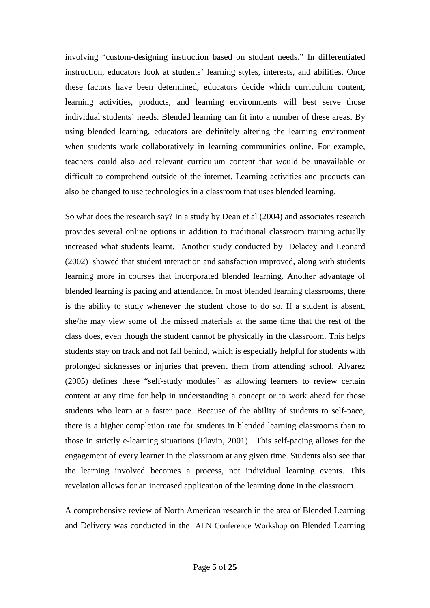involving "custom-designing instruction based on student needs." In differentiated instruction, educators look at students' learning styles, interests, and abilities. Once these factors have been determined, educators decide which curriculum content, learning activities, products, and learning environments will best serve those individual students' needs. Blended learning can fit into a number of these areas. By using blended learning, educators are definitely altering the learning environment when students work collaboratively in learning communities online. For example, teachers could also add relevant curriculum content that would be unavailable or difficult to comprehend outside of the internet. Learning activities and products can also be changed to use technologies in a classroom that uses blended learning.

So what does the research say? In a study by Dean et al (2004) and associates research provides several online options in addition to traditional classroom training actually increased what students learnt. Another study conducted by Delacey and Leonard (2002) showed that student interaction and satisfaction improved, along with students learning more in courses that incorporated blended learning. Another advantage of blended learning is pacing and attendance. In most blended learning classrooms, there is the ability to study whenever the student chose to do so. If a student is absent, she/he may view some of the missed materials at the same time that the rest of the class does, even though the student cannot be physically in the classroom. This helps students stay on track and not fall behind, which is especially helpful for students with prolonged sicknesses or injuries that prevent them from attending school. Alvarez (2005) defines these "self-study modules" as allowing learners to review certain content at any time for help in understanding a concept or to work ahead for those students who learn at a faster pace. Because of the ability of students to self-pace, there is a higher completion rate for students in blended learning classrooms than to those in strictly e-learning situations (Flavin, 2001). This self-pacing allows for the engagement of every learner in the classroom at any given time. Students also see that the learning involved becomes a process, not individual learning events. This revelation allows for an increased application of the learning done in the classroom.

A comprehensive review of North American research in the area of Blended Learning and Delivery was conducted in the ALN Conference Workshop on Blended Learning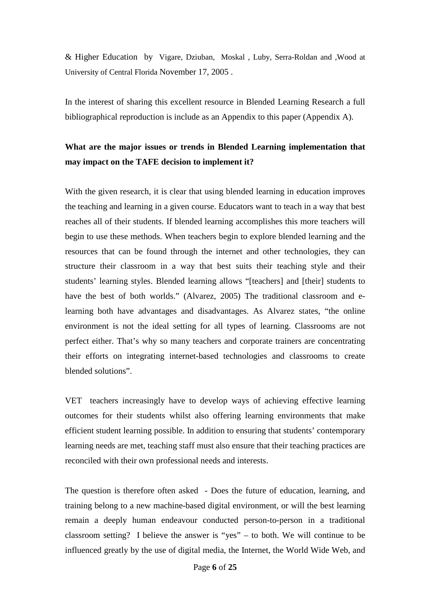& Higher Education by Vigare, Dziuban, Moskal , Luby, Serra-Roldan and ,Wood at University of Central Florida November 17, 2005 .

In the interest of sharing this excellent resource in Blended Learning Research a full bibliographical reproduction is include as an Appendix to this paper (Appendix A).

# **What are the major issues or trends in Blended Learning implementation that may impact on the TAFE decision to implement it?**

With the given research, it is clear that using blended learning in education improves the teaching and learning in a given course. Educators want to teach in a way that best reaches all of their students. If blended learning accomplishes this more teachers will begin to use these methods. When teachers begin to explore blended learning and the resources that can be found through the internet and other technologies, they can structure their classroom in a way that best suits their teaching style and their students' learning styles. Blended learning allows "[teachers] and [their] students to have the best of both worlds." (Alvarez, 2005) The traditional classroom and elearning both have advantages and disadvantages. As Alvarez states, "the online environment is not the ideal setting for all types of learning. Classrooms are not perfect either. That's why so many teachers and corporate trainers are concentrating their efforts on integrating internet-based technologies and classrooms to create blended solutions".

VET teachers increasingly have to develop ways of achieving effective learning outcomes for their students whilst also offering learning environments that make efficient student learning possible. In addition to ensuring that students' contemporary learning needs are met, teaching staff must also ensure that their teaching practices are reconciled with their own professional needs and interests.

The question is therefore often asked - Does the future of education, learning, and training belong to a new machine-based digital environment, or will the best learning remain a deeply human endeavour conducted person-to-person in a traditional classroom setting? I believe the answer is "yes" – to both. We will continue to be influenced greatly by the use of digital media, the Internet, the World Wide Web, and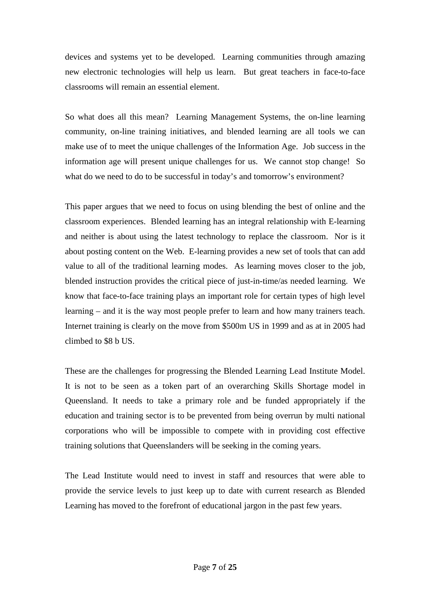devices and systems yet to be developed. Learning communities through amazing new electronic technologies will help us learn. But great teachers in face-to-face classrooms will remain an essential element.

So what does all this mean? Learning Management Systems, the on-line learning community, on-line training initiatives, and blended learning are all tools we can make use of to meet the unique challenges of the Information Age. Job success in the information age will present unique challenges for us. We cannot stop change! So what do we need to do to be successful in today's and tomorrow's environment?

This paper argues that we need to focus on using blending the best of online and the classroom experiences. Blended learning has an integral relationship with E-learning and neither is about using the latest technology to replace the classroom. Nor is it about posting content on the Web. E-learning provides a new set of tools that can add value to all of the traditional learning modes. As learning moves closer to the job, blended instruction provides the critical piece of just-in-time/as needed learning. We know that face-to-face training plays an important role for certain types of high level learning – and it is the way most people prefer to learn and how many trainers teach. Internet training is clearly on the move from \$500m US in 1999 and as at in 2005 had climbed to \$8 b US.

These are the challenges for progressing the Blended Learning Lead Institute Model. It is not to be seen as a token part of an overarching Skills Shortage model in Queensland. It needs to take a primary role and be funded appropriately if the education and training sector is to be prevented from being overrun by multi national corporations who will be impossible to compete with in providing cost effective training solutions that Queenslanders will be seeking in the coming years.

The Lead Institute would need to invest in staff and resources that were able to provide the service levels to just keep up to date with current research as Blended Learning has moved to the forefront of educational jargon in the past few years.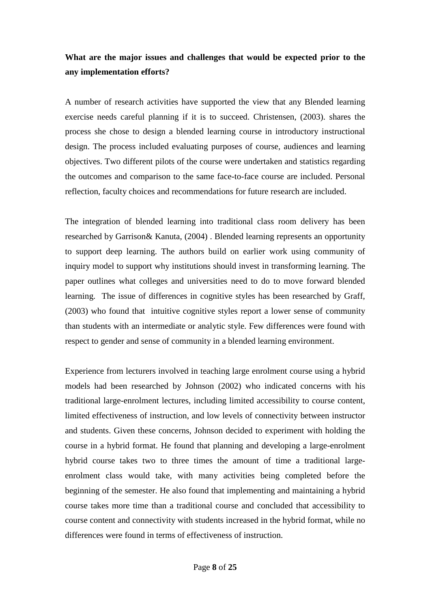# **What are the major issues and challenges that would be expected prior to the any implementation efforts?**

A number of research activities have supported the view that any Blended learning exercise needs careful planning if it is to succeed. Christensen, (2003). shares the process she chose to design a blended learning course in introductory instructional design. The process included evaluating purposes of course, audiences and learning objectives. Two different pilots of the course were undertaken and statistics regarding the outcomes and comparison to the same face-to-face course are included. Personal reflection, faculty choices and recommendations for future research are included.

The integration of blended learning into traditional class room delivery has been researched by Garrison& Kanuta, (2004) . Blended learning represents an opportunity to support deep learning. The authors build on earlier work using community of inquiry model to support why institutions should invest in transforming learning. The paper outlines what colleges and universities need to do to move forward blended learning. The issue of differences in cognitive styles has been researched by Graff, (2003) who found that intuitive cognitive styles report a lower sense of community than students with an intermediate or analytic style. Few differences were found with respect to gender and sense of community in a blended learning environment.

Experience from lecturers involved in teaching large enrolment course using a hybrid models had been researched by Johnson (2002) who indicated concerns with his traditional large-enrolment lectures, including limited accessibility to course content, limited effectiveness of instruction, and low levels of connectivity between instructor and students. Given these concerns, Johnson decided to experiment with holding the course in a hybrid format. He found that planning and developing a large-enrolment hybrid course takes two to three times the amount of time a traditional largeenrolment class would take, with many activities being completed before the beginning of the semester. He also found that implementing and maintaining a hybrid course takes more time than a traditional course and concluded that accessibility to course content and connectivity with students increased in the hybrid format, while no differences were found in terms of effectiveness of instruction.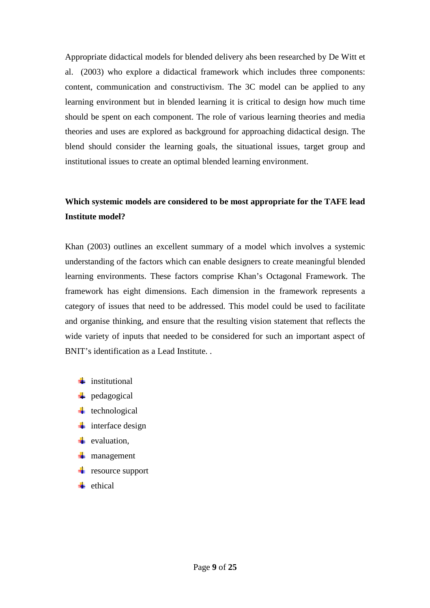Appropriate didactical models for blended delivery ahs been researched by De Witt et al. (2003) who explore a didactical framework which includes three components: content, communication and constructivism. The 3C model can be applied to any learning environment but in blended learning it is critical to design how much time should be spent on each component. The role of various learning theories and media theories and uses are explored as background for approaching didactical design. The blend should consider the learning goals, the situational issues, target group and institutional issues to create an optimal blended learning environment.

# **Which systemic models are considered to be most appropriate for the TAFE lead Institute model?**

Khan (2003) outlines an excellent summary of a model which involves a systemic understanding of the factors which can enable designers to create meaningful blended learning environments. These factors comprise Khan's Octagonal Framework. The framework has eight dimensions. Each dimension in the framework represents a category of issues that need to be addressed. This model could be used to facilitate and organise thinking, and ensure that the resulting vision statement that reflects the wide variety of inputs that needed to be considered for such an important aspect of BNIT's identification as a Lead Institute. .

- $\blacksquare$  institutional
- **+** pedagogical
- $\mathbf{t}$  technological
- $\frac{1}{\sqrt{2}}$  interface design
- $\bullet$  evaluation.
- **w** management
- $\mathbf{r}$  resource support
- $\blacksquare$  ethical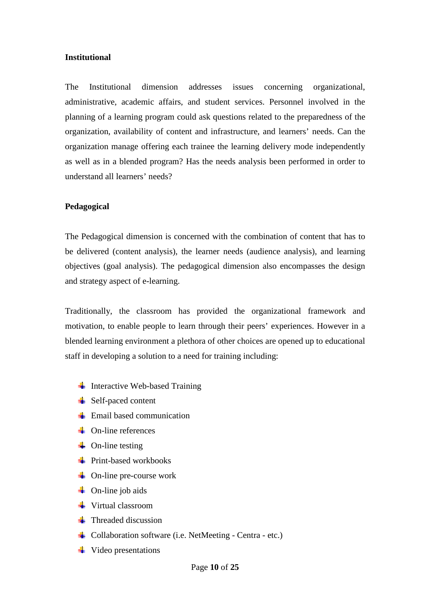### **Institutional**

The Institutional dimension addresses issues concerning organizational, administrative, academic affairs, and student services. Personnel involved in the planning of a learning program could ask questions related to the preparedness of the organization, availability of content and infrastructure, and learners' needs. Can the organization manage offering each trainee the learning delivery mode independently as well as in a blended program? Has the needs analysis been performed in order to understand all learners' needs?

### **Pedagogical**

The Pedagogical dimension is concerned with the combination of content that has to be delivered (content analysis), the learner needs (audience analysis), and learning objectives (goal analysis). The pedagogical dimension also encompasses the design and strategy aspect of e-learning.

Traditionally, the classroom has provided the organizational framework and motivation, to enable people to learn through their peers' experiences. However in a blended learning environment a plethora of other choices are opened up to educational staff in developing a solution to a need for training including:

- Interactive Web-based Training
- **↓** Self-paced content
- $\pm$  Email based communication
- **On-line references**
- $\blacksquare$  On-line testing
- $\frac{1}{2}$  Print-based workbooks
- $\downarrow$  On-line pre-course work
- **On-line job aids**
- **↓** Virtual classroom
- $\blacksquare$  Threaded discussion
- Collaboration software (i.e. NetMeeting Centra etc.)
- Video presentations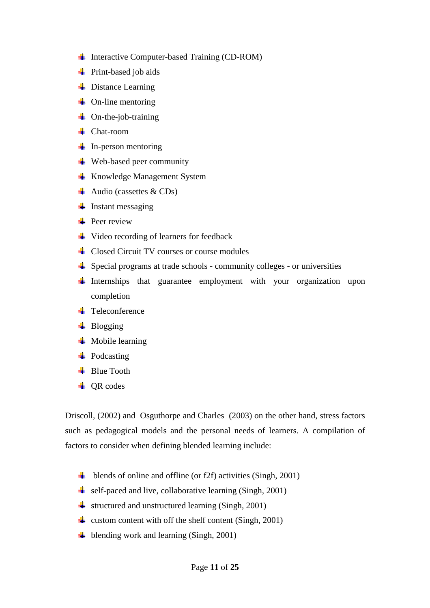- ↓ Interactive Computer-based Training (CD-ROM)
- **Print-based job aids**
- $\frac{1}{2}$  Distance Learning
- $\downarrow$  On-line mentoring
- $\downarrow$  On-the-job-training
- **Chat-room**
- $\frac{1}{2}$  In-person mentoring
- $\ddot{\bullet}$  Web-based peer community
- **Knowledge Management System**
- Audio (cassettes  $& CDs$ )
- $\frac{1}{1}$  Instant messaging
- $\bigoplus$  Peer review
- **↓** Video recording of learners for feedback
- **Closed Circuit TV courses or course modules**
- $\frac{1}{\sqrt{2}}$  Special programs at trade schools community colleges or universities
- $\downarrow$  Internships that guarantee employment with your organization upon completion
- **T**eleconference
- $\downarrow$  Blogging
- $\blacksquare$  Mobile learning
- **Podcasting**
- **Blue Tooth**
- $\overline{\phantom{a} \bullet}$  OR codes

Driscoll, (2002) and Osguthorpe and Charles (2003) on the other hand, stress factors such as pedagogical models and the personal needs of learners. A compilation of factors to consider when defining blended learning include:

- $\downarrow$  blends of online and offline (or f2f) activities (Singh, 2001)
- self-paced and live, collaborative learning (Singh, 2001)
- $\frac{1}{\sqrt{2}}$  structured and unstructured learning (Singh, 2001)
- strategies with off the shelf content (Singh, 2001)
- $\downarrow$  blending work and learning (Singh, 2001)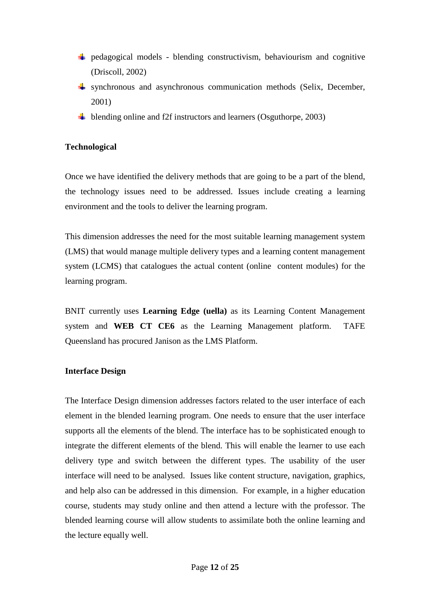- $\downarrow$  pedagogical models blending constructivism, behaviourism and cognitive (Driscoll, 2002)
- $\frac{1}{2}$  synchronous and asynchronous communication methods (Selix, December, 2001)
- $\frac{1}{2}$  blending online and f2f instructors and learners (Osguthorpe, 2003)

# **Technological**

Once we have identified the delivery methods that are going to be a part of the blend, the technology issues need to be addressed. Issues include creating a learning environment and the tools to deliver the learning program.

This dimension addresses the need for the most suitable learning management system (LMS) that would manage multiple delivery types and a learning content management system (LCMS) that catalogues the actual content (online content modules) for the learning program.

BNIT currently uses **Learning Edge (uella)** as its Learning Content Management system and **WEB CT CE6** as the Learning Management platform. TAFE Queensland has procured Janison as the LMS Platform.

# **Interface Design**

The Interface Design dimension addresses factors related to the user interface of each element in the blended learning program. One needs to ensure that the user interface supports all the elements of the blend. The interface has to be sophisticated enough to integrate the different elements of the blend. This will enable the learner to use each delivery type and switch between the different types. The usability of the user interface will need to be analysed. Issues like content structure, navigation, graphics, and help also can be addressed in this dimension. For example, in a higher education course, students may study online and then attend a lecture with the professor. The blended learning course will allow students to assimilate both the online learning and the lecture equally well.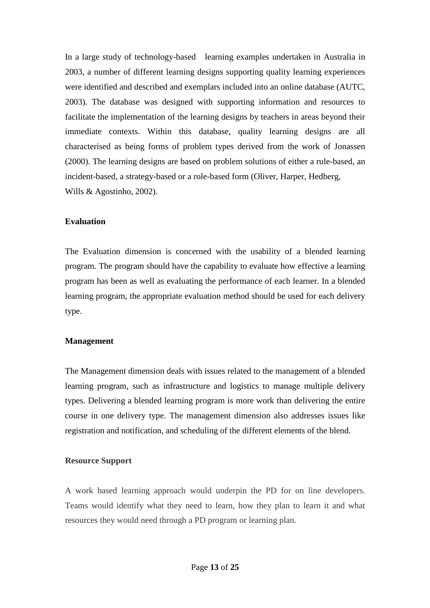In a large study of technology-based learning examples undertaken in Australia in 2003, a number of different learning designs supporting quality learning experiences were identified and described and exemplars included into an online database (AUTC, 2003). The database was designed with supporting information and resources to facilitate the implementation of the learning designs by teachers in areas beyond their immediate contexts. Within this database, quality learning designs are all characterised as being forms of problem types derived from the work of Jonassen (2000). The learning designs are based on problem solutions of either a rule-based, an incident-based, a strategy-based or a role-based form (Oliver, Harper, Hedberg, Wills & Agostinho, 2002).

### **Evaluation**

The Evaluation dimension is concerned with the usability of a blended learning program. The program should have the capability to evaluate how effective a learning program has been as well as evaluating the performance of each learner. In a blended learning program, the appropriate evaluation method should be used for each delivery type.

### **Management**

The Management dimension deals with issues related to the management of a blended learning program, such as infrastructure and logistics to manage multiple delivery types. Delivering a blended learning program is more work than delivering the entire course in one delivery type. The management dimension also addresses issues like registration and notification, and scheduling of the different elements of the blend.

#### **Resource Support**

A work based learning approach would underpin the PD for on line developers. Teams would identify what they need to learn, how they plan to learn it and what resources they would need through a PD program or learning plan.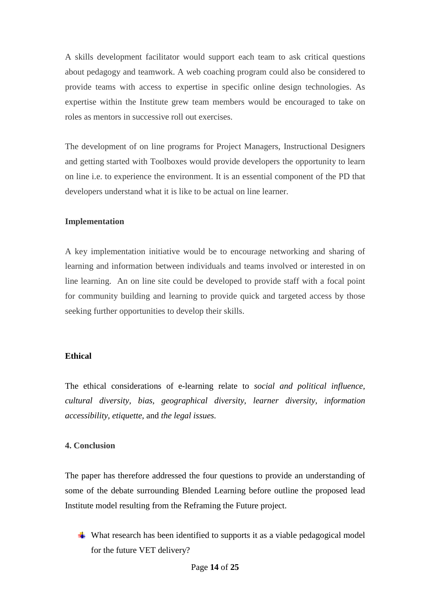A skills development facilitator would support each team to ask critical questions about pedagogy and teamwork. A web coaching program could also be considered to provide teams with access to expertise in specific online design technologies. As expertise within the Institute grew team members would be encouraged to take on roles as mentors in successive roll out exercises.

The development of on line programs for Project Managers, Instructional Designers and getting started with Toolboxes would provide developers the opportunity to learn on line i.e. to experience the environment. It is an essential component of the PD that developers understand what it is like to be actual on line learner.

## **Implementation**

A key implementation initiative would be to encourage networking and sharing of learning and information between individuals and teams involved or interested in on line learning. An on line site could be developed to provide staff with a focal point for community building and learning to provide quick and targeted access by those seeking further opportunities to develop their skills.

# **Ethical**

The ethical considerations of e-learning relate to *social and political influence, cultural diversity, bias, geographical diversity, learner diversity, information accessibility, etiquette,* and *the legal issues.*

# **4. Conclusion**

The paper has therefore addressed the four questions to provide an understanding of some of the debate surrounding Blended Learning before outline the proposed lead Institute model resulting from the Reframing the Future project.

What research has been identified to supports it as a viable pedagogical model for the future VET delivery?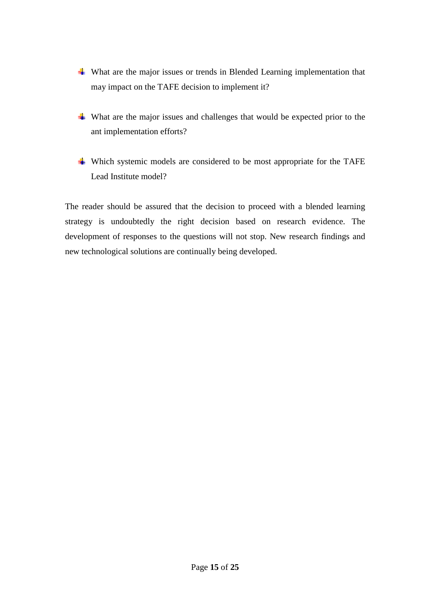- What are the major issues or trends in Blended Learning implementation that may impact on the TAFE decision to implement it?
- What are the major issues and challenges that would be expected prior to the ant implementation efforts?
- $\downarrow$  Which systemic models are considered to be most appropriate for the TAFE Lead Institute model?

The reader should be assured that the decision to proceed with a blended learning strategy is undoubtedly the right decision based on research evidence. The development of responses to the questions will not stop. New research findings and new technological solutions are continually being developed.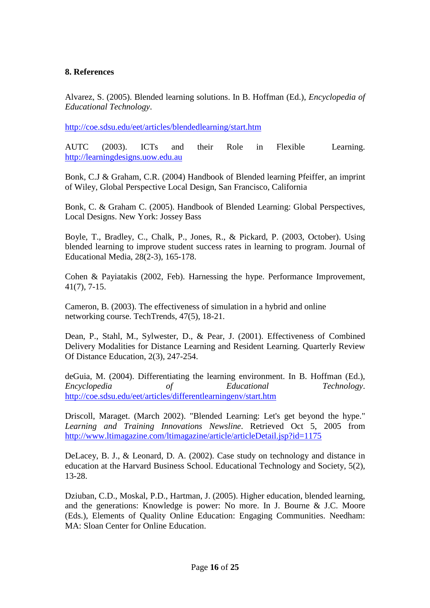## **8. References**

Alvarez, S. (2005). Blended learning solutions. In B. Hoffman (Ed.), *Encyclopedia of Educational Technology*.

http://coe.sdsu.edu/eet/articles/blendedlearning/start.htm

AUTC (2003). ICTs and their Role in Flexible Learning. http://learningdesigns.uow.edu.au

Bonk, C.J & Graham, C.R. (2004) Handbook of Blended learning Pfeiffer, an imprint of Wiley, Global Perspective Local Design, San Francisco, California

Bonk, C. & Graham C. (2005). Handbook of Blended Learning: Global Perspectives, Local Designs. New York: Jossey Bass

Boyle, T., Bradley, C., Chalk, P., Jones, R., & Pickard, P. (2003, October). Using blended learning to improve student success rates in learning to program. Journal of Educational Media, 28(2-3), 165-178.

Cohen & Payiatakis (2002, Feb). Harnessing the hype. Performance Improvement, 41(7), 7-15.

Cameron, B. (2003). The effectiveness of simulation in a hybrid and online networking course. TechTrends, 47(5), 18-21.

Dean, P., Stahl, M., Sylwester, D., & Pear, J. (2001). Effectiveness of Combined Delivery Modalities for Distance Learning and Resident Learning. Quarterly Review Of Distance Education, 2(3), 247-254.

deGuia, M. (2004). Differentiating the learning environment. In B. Hoffman (Ed.), *Encyclopedia of Educational Technology*. http://coe.sdsu.edu/eet/articles/differentlearningenv/start.htm

Driscoll, Maraget. (March 2002). "Blended Learning: Let's get beyond the hype." *Learning and Training Innovations Newsline*. Retrieved Oct 5, 2005 from http://www.ltimagazine.com/ltimagazine/article/articleDetail.jsp?id=1175

DeLacey, B. J., & Leonard, D. A. (2002). Case study on technology and distance in education at the Harvard Business School. Educational Technology and Society, 5(2), 13-28.

Dziuban, C.D., Moskal, P.D., Hartman, J. (2005). Higher education, blended learning, and the generations: Knowledge is power: No more. In J. Bourne & J.C. Moore (Eds.), Elements of Quality Online Education: Engaging Communities. Needham: MA: Sloan Center for Online Education.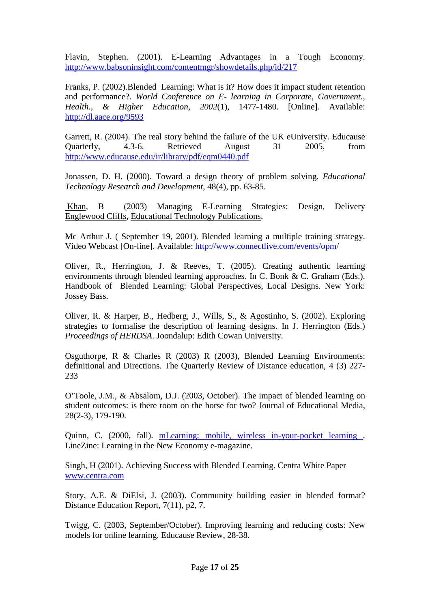Flavin, Stephen. (2001). E-Learning Advantages in a Tough Economy. http://www.babsoninsight.com/contentmgr/showdetails.php/id/217

Franks, P. (2002).Blended Learning: What is it? How does it impact student retention and performance?. *World Conference on E- learning in Corporate, Government., Health., & Higher Education, 2002*(1), 1477-1480. [Online]. Available: http://dl.aace.org/9593

Garrett, R. (2004). The real story behind the failure of the UK eUniversity. Educause Quarterly, 4.3-6. Retrieved August 31 2005, from http://www.educause.edu/ir/library/pdf/eqm0440.pdf

Jonassen, D. H. (2000). Toward a design theory of problem solving. *Educational Technology Research and Development*, 48(4), pp. 63-85.

 Khan, B (2003) Managing E-Learning Strategies: Design, Delivery Englewood Cliffs, Educational Technology Publications.

Mc Arthur J. ( September 19, 2001). Blended learning a multiple training strategy. Video Webcast [On-line]. Available: http://www.connectlive.com/events/opm/

Oliver, R., Herrington, J. & Reeves, T. (2005). Creating authentic learning environments through blended learning approaches. In C. Bonk & C. Graham (Eds.). Handbook of Blended Learning: Global Perspectives, Local Designs. New York: Jossey Bass.

Oliver, R. & Harper, B., Hedberg, J., Wills, S., & Agostinho, S. (2002). Exploring strategies to formalise the description of learning designs. In J. Herrington (Eds.) *Proceedings of HERDSA*. Joondalup: Edith Cowan University.

Osguthorpe, R & Charles R (2003) R (2003), Blended Learning Environments: definitional and Directions. The Quarterly Review of Distance education, 4 (3) 227- 233

O'Toole, J.M., & Absalom, D.J. (2003, October). The impact of blended learning on student outcomes: is there room on the horse for two? Journal of Educational Media, 28(2-3), 179-190.

Quinn, C. (2000, fall). mLearning: mobile, wireless in-your-pocket learning . LineZine: Learning in the New Economy e-magazine.

Singh, H (2001). Achieving Success with Blended Learning. Centra White Paper www.centra.com

Story, A.E. & DiElsi, J. (2003). Community building easier in blended format? Distance Education Report, 7(11), p2, 7.

Twigg, C. (2003, September/October). Improving learning and reducing costs: New models for online learning. Educause Review, 28-38.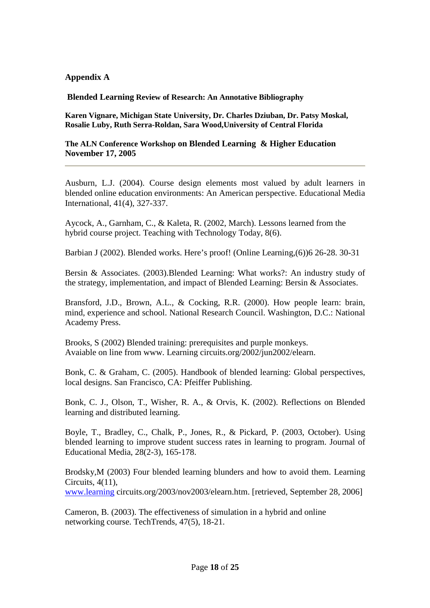## **Appendix A**

**Blended Learning Review of Research: An Annotative Bibliography** 

**Karen Vignare, Michigan State University, Dr. Charles Dziuban, Dr. Patsy Moskal, Rosalie Luby, Ruth Serra-Roldan, Sara Wood,University of Central Florida** 

**The ALN Conference Workshop on Blended Learning & Higher Education November 17, 2005** 

Ausburn, L.J. (2004). Course design elements most valued by adult learners in blended online education environments: An American perspective. Educational Media International, 41(4), 327-337.

Aycock, A., Garnham, C., & Kaleta, R. (2002, March). Lessons learned from the hybrid course project. Teaching with Technology Today, 8(6).

Barbian J (2002). Blended works. Here's proof! (Online Learning,(6))6 26-28. 30-31

Bersin & Associates. (2003).Blended Learning: What works?: An industry study of the strategy, implementation, and impact of Blended Learning: Bersin & Associates.

Bransford, J.D., Brown, A.L., & Cocking, R.R. (2000). How people learn: brain, mind, experience and school. National Research Council. Washington, D.C.: National Academy Press.

Brooks, S (2002) Blended training: prerequisites and purple monkeys. Avaiable on line from www. Learning circuits.org/2002/jun2002/elearn.

Bonk, C. & Graham, C. (2005). Handbook of blended learning: Global perspectives, local designs. San Francisco, CA: Pfeiffer Publishing.

Bonk, C. J., Olson, T., Wisher, R. A., & Orvis, K. (2002). Reflections on Blended learning and distributed learning.

Boyle, T., Bradley, C., Chalk, P., Jones, R., & Pickard, P. (2003, October). Using blended learning to improve student success rates in learning to program. Journal of Educational Media, 28(2-3), 165-178.

Brodsky,M (2003) Four blended learning blunders and how to avoid them. Learning Circuits, 4(11), www.learning circuits.org/2003/nov2003/elearn.htm. [retrieved, September 28, 2006]

Cameron, B. (2003). The effectiveness of simulation in a hybrid and online networking course. TechTrends, 47(5), 18-21.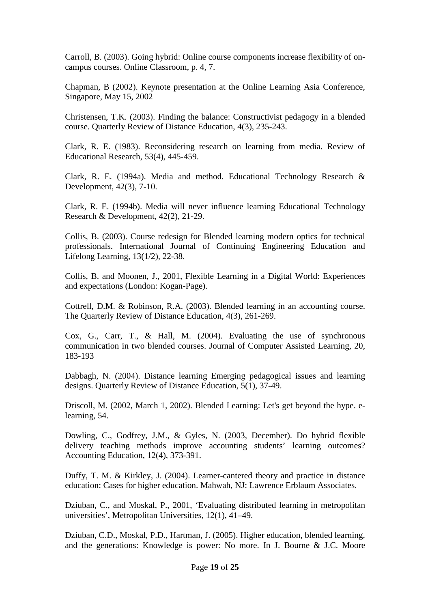Carroll, B. (2003). Going hybrid: Online course components increase flexibility of oncampus courses. Online Classroom, p. 4, 7.

Chapman, B (2002). Keynote presentation at the Online Learning Asia Conference, Singapore, May 15, 2002

Christensen, T.K. (2003). Finding the balance: Constructivist pedagogy in a blended course. Quarterly Review of Distance Education, 4(3), 235-243.

Clark, R. E. (1983). Reconsidering research on learning from media. Review of Educational Research, 53(4), 445-459.

Clark, R. E. (1994a). Media and method. Educational Technology Research & Development, 42(3), 7-10.

Clark, R. E. (1994b). Media will never influence learning Educational Technology Research & Development, 42(2), 21-29.

Collis, B. (2003). Course redesign for Blended learning modern optics for technical professionals. International Journal of Continuing Engineering Education and Lifelong Learning, 13(1/2), 22-38.

Collis, B. and Moonen, J., 2001, Flexible Learning in a Digital World: Experiences and expectations (London: Kogan-Page).

Cottrell, D.M. & Robinson, R.A. (2003). Blended learning in an accounting course. The Quarterly Review of Distance Education, 4(3), 261-269.

Cox, G., Carr, T., & Hall, M. (2004). Evaluating the use of synchronous communication in two blended courses. Journal of Computer Assisted Learning, 20, 183-193

Dabbagh, N. (2004). Distance learning Emerging pedagogical issues and learning designs. Quarterly Review of Distance Education, 5(1), 37-49.

Driscoll, M. (2002, March 1, 2002). Blended Learning: Let's get beyond the hype. elearning, 54.

Dowling, C., Godfrey, J.M., & Gyles, N. (2003, December). Do hybrid flexible delivery teaching methods improve accounting students' learning outcomes? Accounting Education, 12(4), 373-391.

Duffy, T. M. & Kirkley, J. (2004). Learner-cantered theory and practice in distance education: Cases for higher education. Mahwah, NJ: Lawrence Erblaum Associates.

Dziuban, C., and Moskal, P., 2001, 'Evaluating distributed learning in metropolitan universities', Metropolitan Universities, 12(1), 41–49.

Dziuban, C.D., Moskal, P.D., Hartman, J. (2005). Higher education, blended learning, and the generations: Knowledge is power: No more. In J. Bourne & J.C. Moore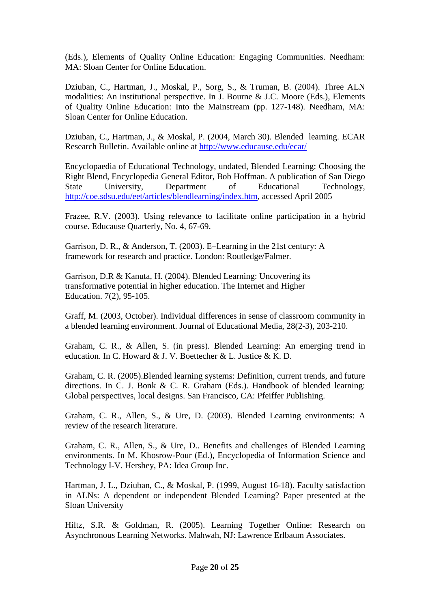(Eds.), Elements of Quality Online Education: Engaging Communities. Needham: MA: Sloan Center for Online Education.

Dziuban, C., Hartman, J., Moskal, P., Sorg, S., & Truman, B. (2004). Three ALN modalities: An institutional perspective. In J. Bourne & J.C. Moore (Eds.), Elements of Quality Online Education: Into the Mainstream (pp. 127-148). Needham, MA: Sloan Center for Online Education.

Dziuban, C., Hartman, J., & Moskal, P. (2004, March 30). Blended learning. ECAR Research Bulletin. Available online at http://www.educause.edu/ecar/

Encyclopaedia of Educational Technology, undated, Blended Learning: Choosing the Right Blend, Encyclopedia General Editor, Bob Hoffman. A publication of San Diego State University, Department of Educational Technology, http://coe.sdsu.edu/eet/articles/blendlearning/index.htm, accessed April 2005

Frazee, R.V. (2003). Using relevance to facilitate online participation in a hybrid course. Educause Quarterly, No. 4, 67-69.

Garrison, D. R., & Anderson, T. (2003). E–Learning in the 21st century: A framework for research and practice. London: Routledge/Falmer.

Garrison, D.R & Kanuta, H. (2004). Blended Learning: Uncovering its transformative potential in higher education. The Internet and Higher Education. 7(2), 95-105.

Graff, M. (2003, October). Individual differences in sense of classroom community in a blended learning environment. Journal of Educational Media, 28(2-3), 203-210.

Graham, C. R., & Allen, S. (in press). Blended Learning: An emerging trend in education. In C. Howard & J. V. Boettecher & L. Justice & K. D.

Graham, C. R. (2005).Blended learning systems: Definition, current trends, and future directions. In C. J. Bonk & C. R. Graham (Eds.). Handbook of blended learning: Global perspectives, local designs. San Francisco, CA: Pfeiffer Publishing.

Graham, C. R., Allen, S., & Ure, D. (2003). Blended Learning environments: A review of the research literature.

Graham, C. R., Allen, S., & Ure, D.. Benefits and challenges of Blended Learning environments. In M. Khosrow-Pour (Ed.), Encyclopedia of Information Science and Technology I-V. Hershey, PA: Idea Group Inc.

Hartman, J. L., Dziuban, C., & Moskal, P. (1999, August 16-18). Faculty satisfaction in ALNs: A dependent or independent Blended Learning? Paper presented at the Sloan University

Hiltz, S.R. & Goldman, R. (2005). Learning Together Online: Research on Asynchronous Learning Networks. Mahwah, NJ: Lawrence Erlbaum Associates.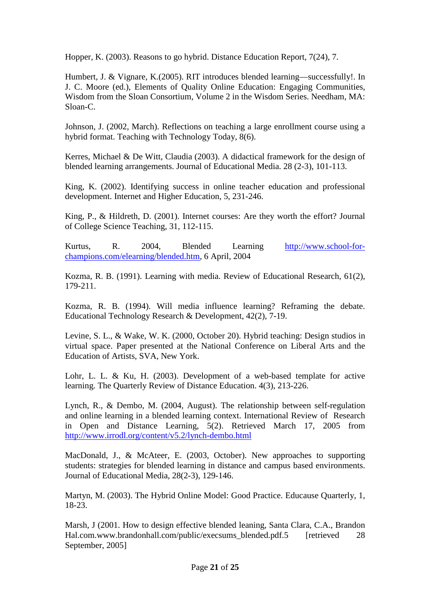Hopper, K. (2003). Reasons to go hybrid. Distance Education Report, 7(24), 7.

Humbert, J. & Vignare, K.(2005). RIT introduces blended learning—successfully!. In J. C. Moore (ed.), Elements of Quality Online Education: Engaging Communities, Wisdom from the Sloan Consortium, Volume 2 in the Wisdom Series. Needham, MA: Sloan-C.

Johnson, J. (2002, March). Reflections on teaching a large enrollment course using a hybrid format. Teaching with Technology Today, 8(6).

Kerres, Michael & De Witt, Claudia (2003). A didactical framework for the design of blended learning arrangements. Journal of Educational Media. 28 (2-3), 101-113.

King, K. (2002). Identifying success in online teacher education and professional development. Internet and Higher Education, 5, 231-246.

King, P., & Hildreth, D. (2001). Internet courses: Are they worth the effort? Journal of College Science Teaching, 31, 112-115.

Kurtus, R. 2004, Blended Learning http://www.school-forchampions.com/elearning/blended.htm, 6 April, 2004

Kozma, R. B. (1991). Learning with media. Review of Educational Research, 61(2), 179-211.

Kozma, R. B. (1994). Will media influence learning? Reframing the debate. Educational Technology Research & Development, 42(2), 7-19.

Levine, S. L., & Wake, W. K. (2000, October 20). Hybrid teaching: Design studios in virtual space. Paper presented at the National Conference on Liberal Arts and the Education of Artists, SVA, New York.

Lohr, L. L. & Ku, H. (2003). Development of a web-based template for active learning. The Quarterly Review of Distance Education. 4(3), 213-226.

Lynch, R., & Dembo, M. (2004, August). The relationship between self-regulation and online learning in a blended learning context. International Review of Research in Open and Distance Learning, 5(2). Retrieved March 17, 2005 from http://www.irrodl.org/content/v5.2/lynch-dembo.html

MacDonald, J., & McAteer, E. (2003, October). New approaches to supporting students: strategies for blended learning in distance and campus based environments. Journal of Educational Media, 28(2-3), 129-146.

Martyn, M. (2003). The Hybrid Online Model: Good Practice. Educause Quarterly, 1, 18-23.

Marsh, J (2001. How to design effective blended leaning, Santa Clara, C.A., Brandon Hal.com.www.brandonhall.com/public/execsums\_blended.pdf.5 [retrieved 28] September, 2005]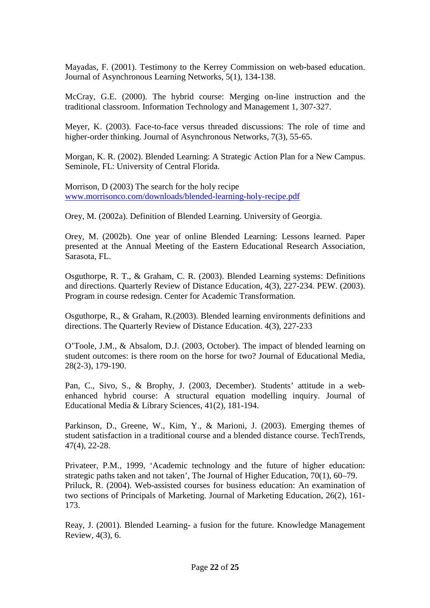Mayadas, F. (2001). Testimony to the Kerrey Commission on web-based education. Journal of Asynchronous Learning Networks, 5(1), 134-138.

McCray, G.E. (2000). The hybrid course: Merging on-line instruction and the traditional classroom. Information Technology and Management 1, 307-327.

Meyer, K. (2003). Face-to-face versus threaded discussions: The role of time and higher-order thinking. Journal of Asynchronous Networks, 7(3), 55-65.

Morgan, K. R. (2002). Blended Learning: A Strategic Action Plan for a New Campus. Seminole, FL: University of Central Florida.

Morrison, D (2003) The search for the holy recipe www.morrisonco.com/downloads/blended-learning-holy-recipe.pdf

Orey, M. (2002a). Definition of Blended Learning. University of Georgia.

Orey, M. (2002b). One year of online Blended Learning: Lessons learned. Paper presented at the Annual Meeting of the Eastern Educational Research Association, Sarasota, FL.

Osguthorpe, R. T., & Graham, C. R. (2003). Blended Learning systems: Definitions and directions. Quarterly Review of Distance Education, 4(3), 227-234. PEW. (2003). Program in course redesign. Center for Academic Transformation.

Osguthorpe, R., & Graham, R.(2003). Blended learning environments definitions and directions. The Quarterly Review of Distance Education. 4(3), 227-233

O'Toole, J.M., & Absalom, D.J. (2003, October). The impact of blended learning on student outcomes: is there room on the horse for two? Journal of Educational Media, 28(2-3), 179-190.

Pan, C., Sivo, S., & Brophy, J. (2003, December). Students' attitude in a webenhanced hybrid course: A structural equation modelling inquiry. Journal of Educational Media & Library Sciences, 41(2), 181-194.

Parkinson, D., Greene, W., Kim, Y., & Marioni, J. (2003). Emerging themes of student satisfaction in a traditional course and a blended distance course. TechTrends, 47(4), 22-28.

Privateer, P.M., 1999, 'Academic technology and the future of higher education: strategic paths taken and not taken', The Journal of Higher Education, 70(1), 60–79. Priluck, R. (2004). Web-assisted courses for business education: An examination of two sections of Principals of Marketing. Journal of Marketing Education, 26(2), 161- 173.

Reay, J. (2001). Blended Learning- a fusion for the future. Knowledge Management Review, 4(3), 6.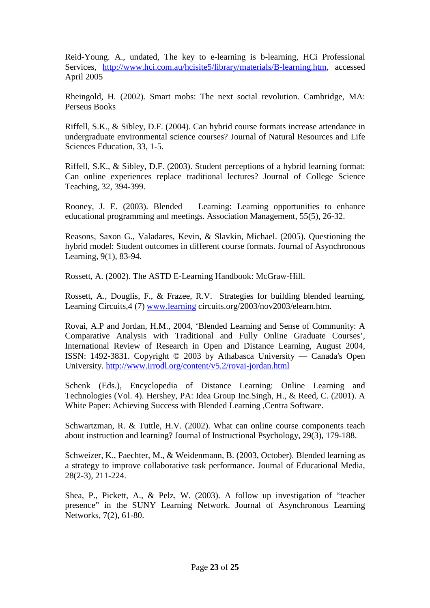Reid-Young. A., undated, The key to e-learning is b-learning, HCi Professional Services, http://www.hci.com.au/hcisite5/library/materials/B-learning.htm, accessed April 2005

Rheingold, H. (2002). Smart mobs: The next social revolution. Cambridge, MA: Perseus Books

Riffell, S.K., & Sibley, D.F. (2004). Can hybrid course formats increase attendance in undergraduate environmental science courses? Journal of Natural Resources and Life Sciences Education, 33, 1-5.

Riffell, S.K., & Sibley, D.F. (2003). Student perceptions of a hybrid learning format: Can online experiences replace traditional lectures? Journal of College Science Teaching, 32, 394-399.

Rooney, J. E. (2003). Blended Learning: Learning opportunities to enhance educational programming and meetings. Association Management, 55(5), 26-32.

Reasons, Saxon G., Valadares, Kevin, & Slavkin, Michael. (2005). Questioning the hybrid model: Student outcomes in different course formats. Journal of Asynchronous Learning, 9(1), 83-94.

Rossett, A. (2002). The ASTD E-Learning Handbook: McGraw-Hill.

Rossett, A., Douglis, F., & Frazee, R.V. Strategies for building blended learning, Learning Circuits,4 (7) www.learning circuits.org/2003/nov2003/elearn.htm.

Rovai, A.P and Jordan, H.M., 2004, 'Blended Learning and Sense of Community: A Comparative Analysis with Traditional and Fully Online Graduate Courses', International Review of Research in Open and Distance Learning, August 2004, ISSN: 1492-3831. Copyright © 2003 by Athabasca University — Canada's Open University. http://www.irrodl.org/content/v5.2/rovai-jordan.html

Schenk (Eds.), Encyclopedia of Distance Learning: Online Learning and Technologies (Vol. 4). Hershey, PA: Idea Group Inc.Singh, H., & Reed, C. (2001). A White Paper: Achieving Success with Blended Learning ,Centra Software.

Schwartzman, R. & Tuttle, H.V. (2002). What can online course components teach about instruction and learning? Journal of Instructional Psychology, 29(3), 179-188.

Schweizer, K., Paechter, M., & Weidenmann, B. (2003, October). Blended learning as a strategy to improve collaborative task performance. Journal of Educational Media, 28(2-3), 211-224.

Shea, P., Pickett, A., & Pelz, W. (2003). A follow up investigation of "teacher presence" in the SUNY Learning Network. Journal of Asynchronous Learning Networks, 7(2), 61-80.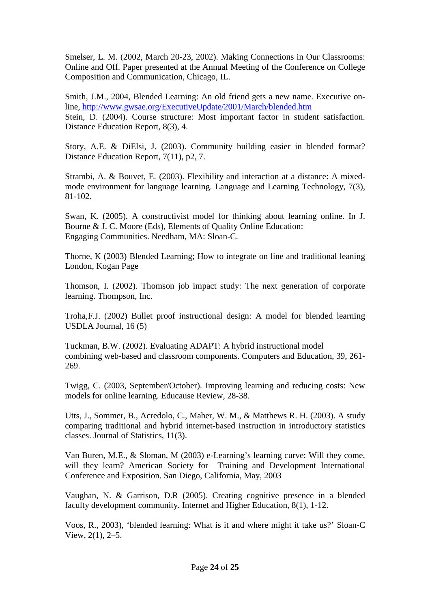Smelser, L. M. (2002, March 20-23, 2002). Making Connections in Our Classrooms: Online and Off. Paper presented at the Annual Meeting of the Conference on College Composition and Communication, Chicago, IL.

Smith, J.M., 2004, Blended Learning: An old friend gets a new name. Executive online, http://www.gwsae.org/ExecutiveUpdate/2001/March/blended.htm Stein, D. (2004). Course structure: Most important factor in student satisfaction. Distance Education Report, 8(3), 4.

Story, A.E. & DiElsi, J. (2003). Community building easier in blended format? Distance Education Report, 7(11), p2, 7.

Strambi, A. & Bouvet, E. (2003). Flexibility and interaction at a distance: A mixedmode environment for language learning. Language and Learning Technology, 7(3), 81-102.

Swan, K. (2005). A constructivist model for thinking about learning online. In J. Bourne & J. C. Moore (Eds), Elements of Quality Online Education: Engaging Communities. Needham, MA: Sloan-C.

Thorne, K (2003) Blended Learning; How to integrate on line and traditional leaning London, Kogan Page

Thomson, I. (2002). Thomson job impact study: The next generation of corporate learning. Thompson, Inc.

Troha,F.J. (2002) Bullet proof instructional design: A model for blended learning USDLA Journal, 16 (5)

Tuckman, B.W. (2002). Evaluating ADAPT: A hybrid instructional model combining web-based and classroom components. Computers and Education, 39, 261- 269.

Twigg, C. (2003, September/October). Improving learning and reducing costs: New models for online learning. Educause Review, 28-38.

Utts, J., Sommer, B., Acredolo, C., Maher, W. M., & Matthews R. H. (2003). A study comparing traditional and hybrid internet-based instruction in introductory statistics classes. Journal of Statistics, 11(3).

Van Buren, M.E., & Sloman, M (2003) e-Learning's learning curve: Will they come, will they learn? American Society for Training and Development International Conference and Exposition. San Diego, California, May, 2003

Vaughan, N. & Garrison, D.R (2005). Creating cognitive presence in a blended faculty development community. Internet and Higher Education, 8(1), 1-12.

Voos, R., 2003), 'blended learning: What is it and where might it take us?' Sloan-C View, 2(1), 2–5.